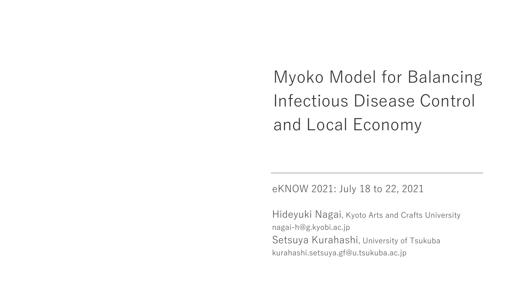Myoko Model for Balancing Infectious Disease Control and Local Economy

eKNOW 2021: July 18 to 22, 2021

Hideyuki Nagai, Kyoto Arts and Crafts University nagai-h@g.kyobi.ac.jp Setsuya Kurahashi, University of Tsukuba kurahashi.setsuya.gf@u.tsukuba.ac.jp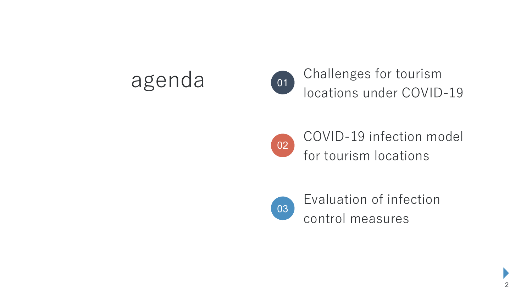

agenda Challenges for tourism<br>
locations under COVID-19



COVID-19 infection model for tourism locations



Evaluation of infection control measures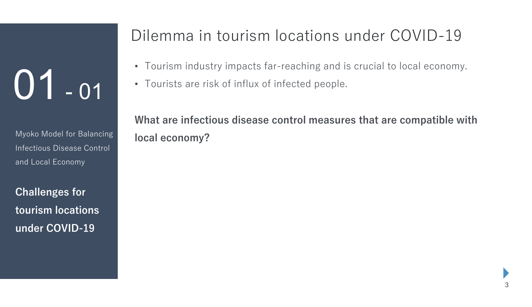Myoko Model for Balancing Infectious Disease Control and Local Economy

**Challenges for tourism locations under COVID-19**

### Dilemma in tourism locations under COVID-19

- Tourism industry impacts far-reaching and is crucial to local economy.
- Tourists are risk of influx of infected people.

**What are infectious disease control measures that are compatible with local economy?**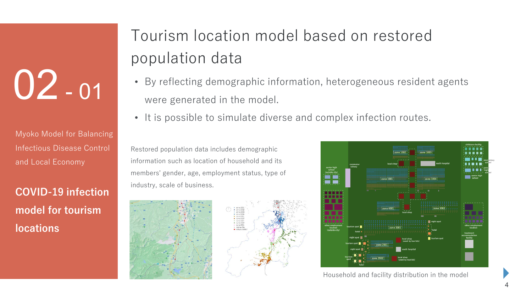Myoko Model for Balancing Infectious Disease Control and Local Economy

**COVID-19 infection model for tourism locations**

### Tourism location model based on restored population data

- By reflecting demographic information, heterogeneous resident agents were generated in the model.
- It is possible to simulate diverse and complex infection routes.

Restored population data includes demographic information such as location of household and its members' gender, age, employment status, type of industry, scale of business.





Household and facility distribution in the model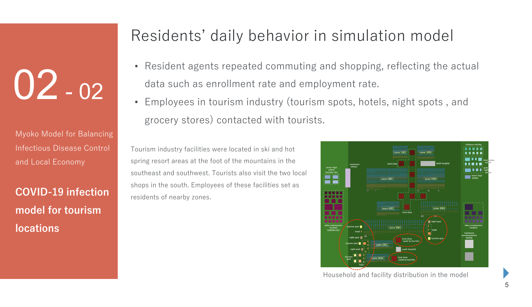Myoko Model for Balancing Infectious Disease Control and Local Economy

**COVID-19 infection model for tourism locations**

### Residents' daily behavior in simulation model

- Resident agents repeated commuting and shopping, reflecting the actual data such as enrollment rate and employment rate.
- Employees in tourism industry (tourism spots, hotels, night spots , and grocery stores) contacted with tourists.

Tourism industry facilities were located in ski and hot spring resort areas at the foot of the mountains in the southeast and southwest. Tourists also visit the two local shops in the south. Employees of these facilities set as residents of nearby zones.

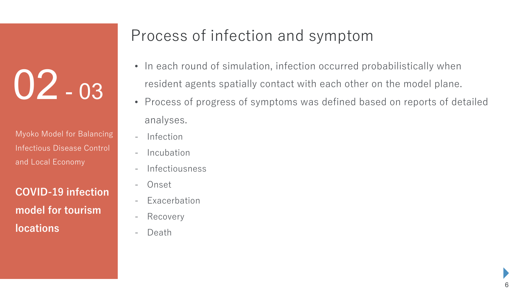Myoko Model for Balancing Infectious Disease Control and Local Economy

**COVID-19 infection model for tourism locations**

### Process of infection and symptom

- In each round of simulation, infection occurred probabilistically when resident agents spatially contact with each other on the model plane.
- Process of progress of symptoms was defined based on reports of detailed analyses.
- -Infection
- -Incubation
- -Infectiousness
- -Onset
- Exacerbation
- -Recovery
- -Death

6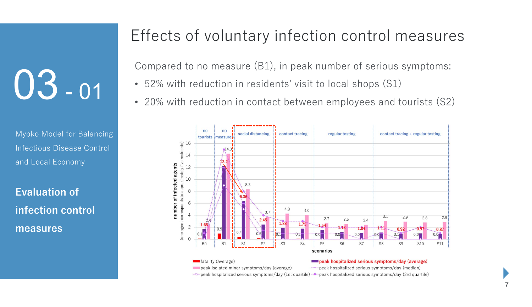Myoko Model for Balancing Infectious Disease Control and Local Economy

**Evaluation of infection control measures**

### Effects of voluntary infection control measures

Compared to no measure (B1), in peak number of serious symptoms:

- 52% with reduction in residents' visit to local shops (S1)
- 20% with reduction in contact between employees and tourists (S2)

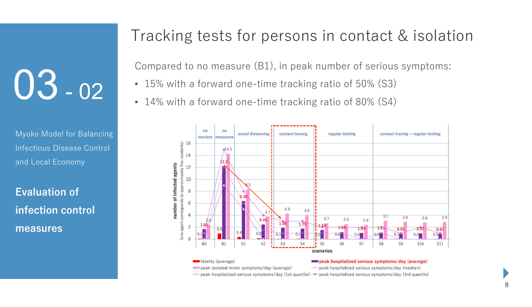Myoko Model for Balancing Infectious Disease Control and Local Economy

**Evaluation of infection control measures**

### Tracking tests for persons in contact & isolation

Compared to no measure (B1), in peak number of serious symptoms:

- 15% with a forward one-time tracking ratio of 50% (S3)
- 14% with a forward one-time tracking ratio of 80% (S4)

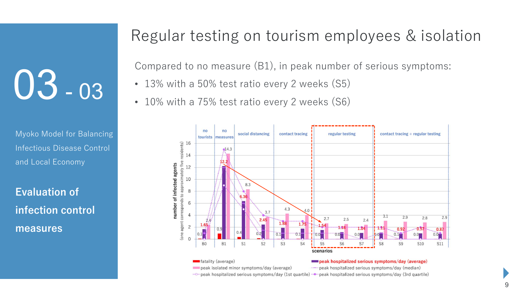Myoko Model for Balancing Infectious Disease Control and Local Economy

**Evaluation of infection control measures**

#### Regular testing on tourism employees & isolation

Compared to no measure (B1), in peak number of serious symptoms:

- 13% with a 50% test ratio every 2 weeks (S5)
- 10% with a 75% test ratio every 2 weeks (S6)

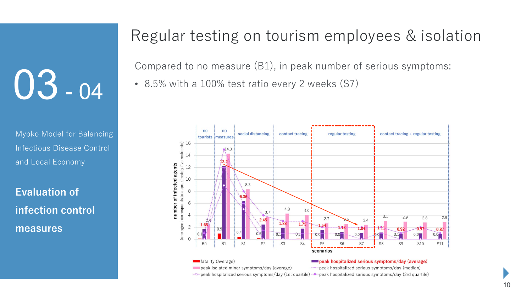Myoko Model for Balancing Infectious Disease Control and Local Economy

**Evaluation of infection control measures**

#### Regular testing on tourism employees & isolation

Compared to no measure (B1), in peak number of serious symptoms:

• 8.5% with a 100% test ratio every 2 weeks (S7)

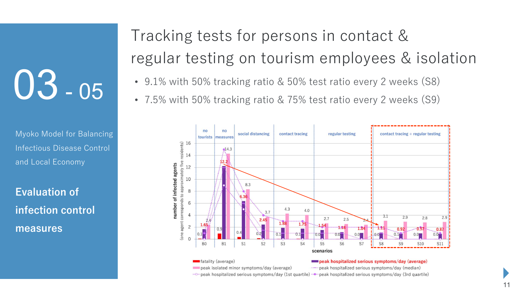Myoko Model for Balancing Infectious Disease Control and Local Economy

**Evaluation of infection control measures**

### Tracking tests for persons in contact & regular testing on tourism employees & isolation

- 9.1% with 50% tracking ratio & 50% test ratio every 2 weeks (S8)
- 7.5% with 50% tracking ratio & 75% test ratio every 2 weeks (S9)

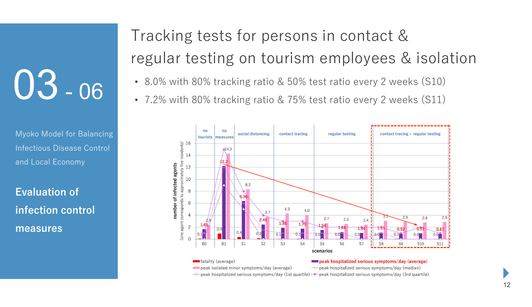Myoko Model for Balancing Infectious Disease Control and Local Economy

**Evaluation of infection control measures**

### Tracking tests for persons in contact & regular testing on tourism employees & isolation

- 8.0% with 80% tracking ratio & 50% test ratio every 2 weeks (S10)
- 7.2% with 80% tracking ratio & 75% test ratio every 2 weeks (S11)

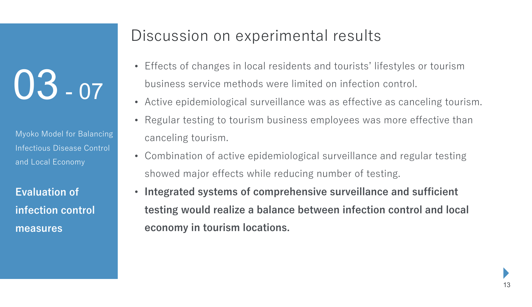Myoko Model for Balancing Infectious Disease Control and Local Economy

**Evaluation of infection control measures**

#### Discussion on experimental results

- Effects of changes in local residents and tourists' lifestyles or tourism business service methods were limited on infection control.
- Active epidemiological surveillance was as effective as canceling tourism.
- Regular testing to tourism business employees was more effective than canceling tourism.
- Combination of active epidemiological surveillance and regular testing showed major effects while reducing number of testing.
- **Integrated systems of comprehensive surveillance and sufficient testing would realize a balance between infection control and local economy in tourism locations.**